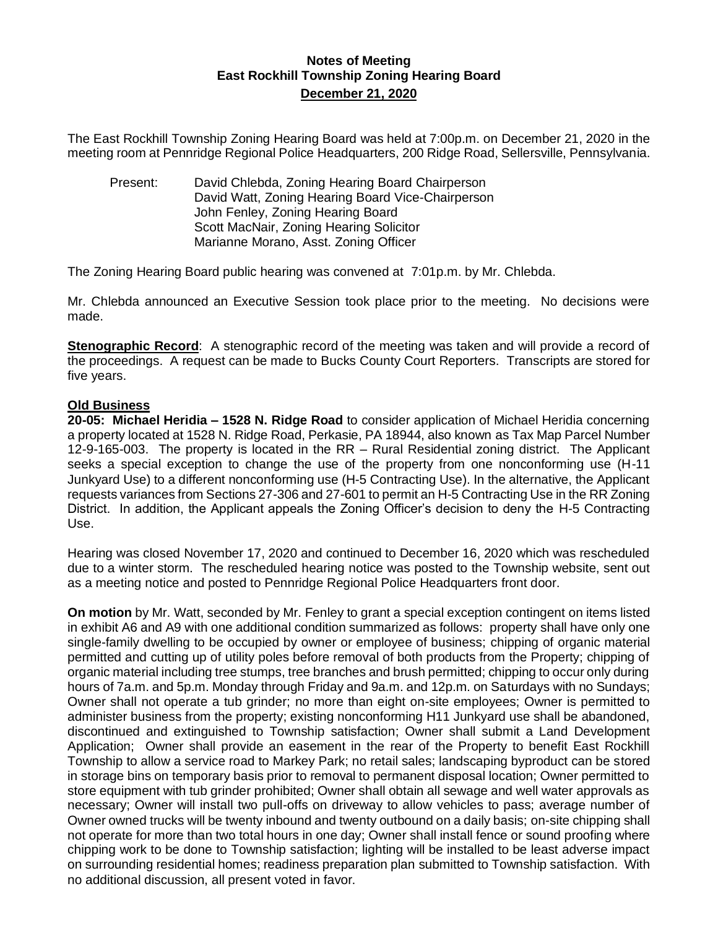## **Notes of Meeting East Rockhill Township Zoning Hearing Board December 21, 2020**

The East Rockhill Township Zoning Hearing Board was held at 7:00p.m. on December 21, 2020 in the meeting room at Pennridge Regional Police Headquarters, 200 Ridge Road, Sellersville, Pennsylvania.

Present: David Chlebda, Zoning Hearing Board Chairperson David Watt, Zoning Hearing Board Vice-Chairperson John Fenley, Zoning Hearing Board Scott MacNair, Zoning Hearing Solicitor Marianne Morano, Asst. Zoning Officer

The Zoning Hearing Board public hearing was convened at 7:01p.m. by Mr. Chlebda.

Mr. Chlebda announced an Executive Session took place prior to the meeting. No decisions were made.

**Stenographic Record**: A stenographic record of the meeting was taken and will provide a record of the proceedings. A request can be made to Bucks County Court Reporters. Transcripts are stored for five years.

## **Old Business**

**20-05: Michael Heridia – 1528 N. Ridge Road** to consider application of Michael Heridia concerning a property located at 1528 N. Ridge Road, Perkasie, PA 18944, also known as Tax Map Parcel Number 12-9-165-003. The property is located in the RR – Rural Residential zoning district. The Applicant seeks a special exception to change the use of the property from one nonconforming use (H-11 Junkyard Use) to a different nonconforming use (H-5 Contracting Use). In the alternative, the Applicant requests variances from Sections 27-306 and 27-601 to permit an H-5 Contracting Use in the RR Zoning District. In addition, the Applicant appeals the Zoning Officer's decision to deny the H-5 Contracting Use.

Hearing was closed November 17, 2020 and continued to December 16, 2020 which was rescheduled due to a winter storm. The rescheduled hearing notice was posted to the Township website, sent out as a meeting notice and posted to Pennridge Regional Police Headquarters front door.

**On motion** by Mr. Watt, seconded by Mr. Fenley to grant a special exception contingent on items listed in exhibit A6 and A9 with one additional condition summarized as follows: property shall have only one single-family dwelling to be occupied by owner or employee of business; chipping of organic material permitted and cutting up of utility poles before removal of both products from the Property; chipping of organic material including tree stumps, tree branches and brush permitted; chipping to occur only during hours of 7a.m. and 5p.m. Monday through Friday and 9a.m. and 12p.m. on Saturdays with no Sundays; Owner shall not operate a tub grinder; no more than eight on-site employees; Owner is permitted to administer business from the property; existing nonconforming H11 Junkyard use shall be abandoned, discontinued and extinguished to Township satisfaction; Owner shall submit a Land Development Application; Owner shall provide an easement in the rear of the Property to benefit East Rockhill Township to allow a service road to Markey Park; no retail sales; landscaping byproduct can be stored in storage bins on temporary basis prior to removal to permanent disposal location; Owner permitted to store equipment with tub grinder prohibited; Owner shall obtain all sewage and well water approvals as necessary; Owner will install two pull-offs on driveway to allow vehicles to pass; average number of Owner owned trucks will be twenty inbound and twenty outbound on a daily basis; on-site chipping shall not operate for more than two total hours in one day; Owner shall install fence or sound proofing where chipping work to be done to Township satisfaction; lighting will be installed to be least adverse impact on surrounding residential homes; readiness preparation plan submitted to Township satisfaction. With no additional discussion, all present voted in favor.